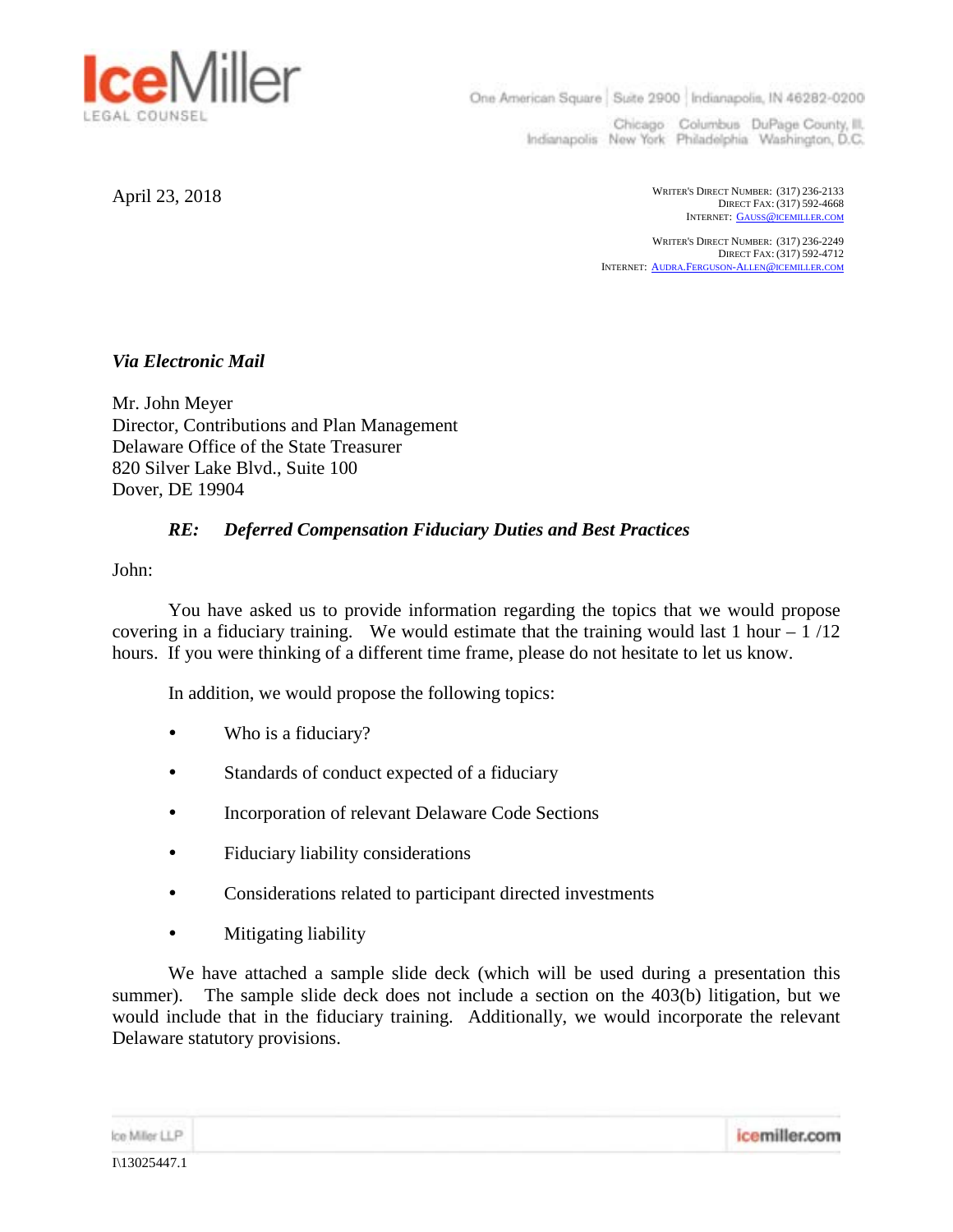

One American Square Suite 2900 Indianapolis, IN 46282-0200

Chicago Columbus DuPage County, III. Indianapolis New York Philadelphia Washington, D.C.

April 23, 2018 DIRECT FAX: (317) 592-4668 INTERNET: GAUSS@ICEMILLER.COM

> WRITER'S DIRECT NUMBER: (317) 236-2249 DIRECT FAX: (317) 592-4712 INTERNET: AUDRA.FERGUSON-ALLEN@ICEMILLER.COM

*Via Electronic Mail*

Mr. John Meyer Director, Contributions and Plan Management Delaware Office of the State Treasurer 820 Silver Lake Blvd., Suite 100 Dover, DE 19904

## *RE: Deferred Compensation Fiduciary Duties and Best Practices*

John:

You have asked us to provide information regarding the topics that we would propose covering in a fiduciary training. We would estimate that the training would last 1 hour  $-1/12$ hours. If you were thinking of a different time frame, please do not hesitate to let us know.

In addition, we would propose the following topics:

- Who is a fiduciary?
- Standards of conduct expected of a fiduciary
- Incorporation of relevant Delaware Code Sections
- Fiduciary liability considerations
- Considerations related to participant directed investments
- Mitigating liability

We have attached a sample slide deck (which will be used during a presentation this summer). The sample slide deck does not include a section on the 403(b) litigation, but we would include that in the fiduciary training. Additionally, we would incorporate the relevant Delaware statutory provisions.

icemiller.com